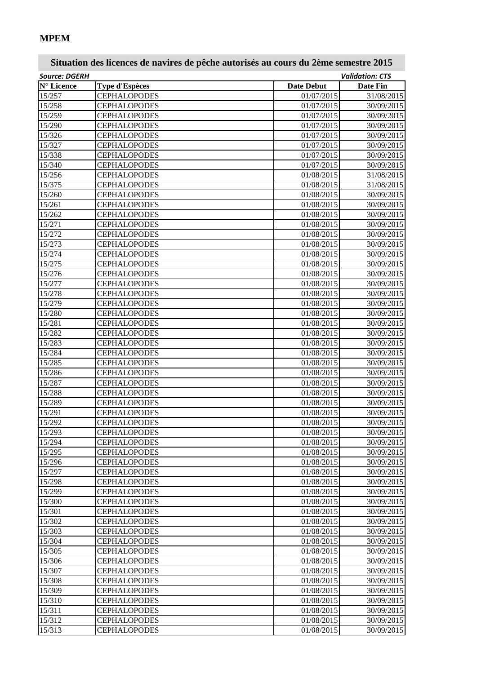## **MPEM**

| <b>Source: DGERH</b>       |                       |                   | <b>Validation: CTS</b> |
|----------------------------|-----------------------|-------------------|------------------------|
| $\mathbf{N}^\circ$ Licence | <b>Type d'Espèces</b> | <b>Date Debut</b> | <b>Date Fin</b>        |
| 15/257                     | <b>CEPHALOPODES</b>   | 01/07/2015        | 31/08/2015             |
| 15/258                     | <b>CEPHALOPODES</b>   | 01/07/2015        | 30/09/2015             |
| 15/259                     | <b>CEPHALOPODES</b>   | 01/07/2015        | 30/09/2015             |
| 15/290                     | <b>CEPHALOPODES</b>   | 01/07/2015        | 30/09/2015             |
| 15/326                     | <b>CEPHALOPODES</b>   | 01/07/2015        | 30/09/2015             |
| 15/327                     | <b>CEPHALOPODES</b>   | 01/07/2015        | 30/09/2015             |
| 15/338                     | <b>CEPHALOPODES</b>   | 01/07/2015        | 30/09/2015             |
| 15/340                     | <b>CEPHALOPODES</b>   | 01/07/2015        | 30/09/2015             |
| 15/256                     | <b>CEPHALOPODES</b>   | 01/08/2015        | 31/08/2015             |
| 15/375                     | <b>CEPHALOPODES</b>   | 01/08/2015        | 31/08/2015             |
| 15/260                     | <b>CEPHALOPODES</b>   | 01/08/2015        | 30/09/2015             |
| 15/261                     | <b>CEPHALOPODES</b>   | 01/08/2015        | 30/09/2015             |
| 15/262                     | <b>CEPHALOPODES</b>   | 01/08/2015        | 30/09/2015             |
| 15/271                     | <b>CEPHALOPODES</b>   | 01/08/2015        | 30/09/2015             |
| 15/272                     | <b>CEPHALOPODES</b>   | 01/08/2015        | 30/09/2015             |
| 15/273                     | <b>CEPHALOPODES</b>   | 01/08/2015        | 30/09/2015             |
| 15/274                     | <b>CEPHALOPODES</b>   | 01/08/2015        | 30/09/2015             |
| 15/275                     | <b>CEPHALOPODES</b>   | 01/08/2015        | 30/09/2015             |
| 15/276                     | <b>CEPHALOPODES</b>   | 01/08/2015        | 30/09/2015             |
| 15/277                     | <b>CEPHALOPODES</b>   | 01/08/2015        | 30/09/2015             |
| 15/278                     | <b>CEPHALOPODES</b>   | 01/08/2015        | 30/09/2015             |
| 15/279                     | <b>CEPHALOPODES</b>   | 01/08/2015        | 30/09/2015             |
| 15/280                     | <b>CEPHALOPODES</b>   | 01/08/2015        | 30/09/2015             |
| 15/281                     | <b>CEPHALOPODES</b>   | 01/08/2015        | 30/09/2015             |
| 15/282                     | <b>CEPHALOPODES</b>   | 01/08/2015        | 30/09/2015             |
| 15/283                     | <b>CEPHALOPODES</b>   | 01/08/2015        | 30/09/2015             |
| 15/284                     | <b>CEPHALOPODES</b>   | 01/08/2015        | 30/09/2015             |
| 15/285                     | <b>CEPHALOPODES</b>   | 01/08/2015        | 30/09/2015             |
| 15/286                     | <b>CEPHALOPODES</b>   | 01/08/2015        | 30/09/2015             |
| 15/287                     | <b>CEPHALOPODES</b>   | 01/08/2015        | 30/09/2015             |
| 15/288                     | <b>CEPHALOPODES</b>   | 01/08/2015        | 30/09/2015             |
| 15/289                     | <b>CEPHALOPODES</b>   | 01/08/2015        | 30/09/2015             |
| 15/291                     | <b>CEPHALOPODES</b>   | 01/08/2015        | 30/09/2015             |
| 15/292                     | <b>CEPHALOPODES</b>   | 01/08/2015        | 30/09/2015             |
| 15/293                     | <b>CEPHALOPODES</b>   | 01/08/2015        | 30/09/2015             |
| 15/294                     | <b>CEPHALOPODES</b>   | 01/08/2015        | 30/09/2015             |
| 15/295                     | <b>CEPHALOPODES</b>   | 01/08/2015        | 30/09/2015             |
| 15/296                     | <b>CEPHALOPODES</b>   | 01/08/2015        | 30/09/2015             |
| 15/297                     | <b>CEPHALOPODES</b>   | 01/08/2015        | 30/09/2015             |
| 15/298                     | <b>CEPHALOPODES</b>   | 01/08/2015        | 30/09/2015             |
| 15/299                     | <b>CEPHALOPODES</b>   | 01/08/2015        | 30/09/2015             |
| 15/300                     | <b>CEPHALOPODES</b>   | 01/08/2015        | 30/09/2015             |
| 15/301                     | <b>CEPHALOPODES</b>   | 01/08/2015        | 30/09/2015             |
| 15/302                     | <b>CEPHALOPODES</b>   | 01/08/2015        | 30/09/2015             |
| 15/303                     | <b>CEPHALOPODES</b>   | 01/08/2015        | 30/09/2015             |
| 15/304                     | <b>CEPHALOPODES</b>   | 01/08/2015        | 30/09/2015             |
| 15/305                     | <b>CEPHALOPODES</b>   | 01/08/2015        | 30/09/2015             |
| 15/306                     | <b>CEPHALOPODES</b>   | 01/08/2015        | 30/09/2015             |
| 15/307                     | <b>CEPHALOPODES</b>   | 01/08/2015        | 30/09/2015             |
| 15/308                     | <b>CEPHALOPODES</b>   | 01/08/2015        | 30/09/2015             |
| 15/309                     | <b>CEPHALOPODES</b>   | 01/08/2015        | 30/09/2015             |
| 15/310                     | <b>CEPHALOPODES</b>   | 01/08/2015        | 30/09/2015             |
| 15/311                     | <b>CEPHALOPODES</b>   | 01/08/2015        | 30/09/2015             |
| 15/312                     | <b>CEPHALOPODES</b>   | 01/08/2015        | 30/09/2015             |
| 15/313                     | <b>CEPHALOPODES</b>   | 01/08/2015        | 30/09/2015             |
|                            |                       |                   |                        |

## **Situation des licences de navires de pêche autorisés au cours du 2ème semestre 2015**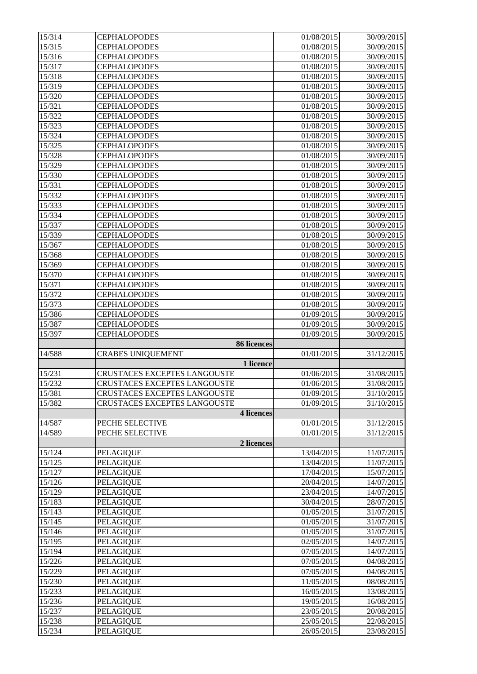| 15/314           | <b>CEPHALOPODES</b>                                          | 01/08/2015               | 30/09/2015               |
|------------------|--------------------------------------------------------------|--------------------------|--------------------------|
| 15/315           | <b>CEPHALOPODES</b>                                          | 01/08/2015               | 30/09/2015               |
| 15/316           | <b>CEPHALOPODES</b>                                          | 01/08/2015               | 30/09/2015               |
| 15/317           | <b>CEPHALOPODES</b>                                          | 01/08/2015               | 30/09/2015               |
| 15/318           | <b>CEPHALOPODES</b>                                          | 01/08/2015               | 30/09/2015               |
| 15/319           | <b>CEPHALOPODES</b>                                          | 01/08/2015               | 30/09/2015               |
| 15/320           | <b>CEPHALOPODES</b>                                          | 01/08/2015               | 30/09/2015               |
| 15/321           | <b>CEPHALOPODES</b>                                          | 01/08/2015               | 30/09/2015               |
| 15/322           | <b>CEPHALOPODES</b>                                          | 01/08/2015               | 30/09/2015               |
| 15/323           | <b>CEPHALOPODES</b>                                          | 01/08/2015               | 30/09/2015               |
| 15/324           | <b>CEPHALOPODES</b>                                          | 01/08/2015               | 30/09/2015               |
| 15/325           | <b>CEPHALOPODES</b>                                          | 01/08/2015               | 30/09/2015               |
| 15/328           | <b>CEPHALOPODES</b>                                          | 01/08/2015               | 30/09/2015               |
| 15/329           | <b>CEPHALOPODES</b>                                          | 01/08/2015               | 30/09/2015               |
| 15/330           | <b>CEPHALOPODES</b>                                          | 01/08/2015               | 30/09/2015               |
| 15/331           | <b>CEPHALOPODES</b>                                          | 01/08/2015               | 30/09/2015               |
| 15/332           | <b>CEPHALOPODES</b>                                          | 01/08/2015               | 30/09/2015               |
| 15/333           | <b>CEPHALOPODES</b>                                          | 01/08/2015               | 30/09/2015               |
| 15/334           | <b>CEPHALOPODES</b>                                          | 01/08/2015               | 30/09/2015               |
| 15/337           | <b>CEPHALOPODES</b>                                          | 01/08/2015               | 30/09/2015               |
| 15/339           | <b>CEPHALOPODES</b>                                          | 01/08/2015               | 30/09/2015               |
| 15/367           | <b>CEPHALOPODES</b>                                          | 01/08/2015               | 30/09/2015               |
| 15/368           | <b>CEPHALOPODES</b>                                          | 01/08/2015               | 30/09/2015               |
| 15/369           | <b>CEPHALOPODES</b>                                          | 01/08/2015               | 30/09/2015               |
| 15/370           | <b>CEPHALOPODES</b>                                          | 01/08/2015               | 30/09/2015               |
| 15/371           | <b>CEPHALOPODES</b>                                          | 01/08/2015               | 30/09/2015               |
| 15/372           | <b>CEPHALOPODES</b>                                          | 01/08/2015               | 30/09/2015               |
| 15/373           | <b>CEPHALOPODES</b>                                          | 01/08/2015               | 30/09/2015               |
| 15/386           | <b>CEPHALOPODES</b>                                          | 01/09/2015               | 30/09/2015               |
| 15/387<br>15/397 | <b>CEPHALOPODES</b><br><b>CEPHALOPODES</b>                   | 01/09/2015               | 30/09/2015<br>30/09/2015 |
|                  |                                                              |                          |                          |
|                  |                                                              | 01/09/2015               |                          |
|                  | <b>86 licences</b>                                           |                          |                          |
| 14/588           | <b>CRABES UNIQUEMENT</b>                                     | 01/01/2015               | 31/12/2015               |
|                  | 1 licence                                                    |                          |                          |
| 15/231<br>15/232 | CRUSTACES EXCEPTES LANGOUSTE<br>CRUSTACES EXCEPTES LANGOUSTE | 01/06/2015<br>01/06/2015 | 31/08/2015<br>31/08/2015 |
|                  |                                                              | 01/09/2015               | 31/10/2015               |
| 15/381<br>15/382 | CRUSTACES EXCEPTES LANGOUSTE<br>CRUSTACES EXCEPTES LANGOUSTE | 01/09/2015               | 31/10/2015               |
|                  | 4 licences                                                   |                          |                          |
| 14/587           | PECHE SELECTIVE                                              | 01/01/2015               | 31/12/2015               |
| 14/589           | PECHE SELECTIVE                                              | 01/01/2015               | 31/12/2015               |
|                  | 2 licences                                                   |                          |                          |
| 15/124           | <b>PELAGIQUE</b>                                             | 13/04/2015               | 11/07/2015               |
| 15/125           | <b>PELAGIQUE</b>                                             | 13/04/2015               | 11/07/2015               |
| 15/127           | <b>PELAGIQUE</b>                                             | 17/04/2015               | 15/07/2015               |
| 15/126           | <b>PELAGIQUE</b>                                             | 20/04/2015               | 14/07/2015               |
| 15/129           | <b>PELAGIQUE</b>                                             | 23/04/2015               | 14/07/2015               |
| 15/183           | <b>PELAGIQUE</b>                                             | 30/04/2015               | 28/07/2015               |
| 15/143           | <b>PELAGIQUE</b>                                             | 01/05/2015               | 31/07/2015               |
| 15/145           | PELAGIQUE                                                    | 01/05/2015               | 31/07/2015               |
| 15/146           | <b>PELAGIQUE</b>                                             | 01/05/2015               | 31/07/2015               |
| 15/195           | <b>PELAGIQUE</b>                                             | 02/05/2015               | 14/07/2015               |
| 15/194           | <b>PELAGIQUE</b>                                             | 07/05/2015               | 14/07/2015               |
| 15/226           | <b>PELAGIQUE</b>                                             | 07/05/2015               | 04/08/2015               |
| 15/229           | <b>PELAGIQUE</b>                                             | 07/05/2015               | 04/08/2015               |
| 15/230           | <b>PELAGIQUE</b>                                             | 11/05/2015               | 08/08/2015               |
| 15/233           | PELAGIQUE                                                    | 16/05/2015<br>19/05/2015 | 13/08/2015               |
| 15/236<br>15/237 | PELAGIQUE                                                    | 23/05/2015               | 16/08/2015<br>20/08/2015 |
| 15/238           | <b>PELAGIQUE</b><br><b>PELAGIQUE</b>                         | 25/05/2015               | 22/08/2015               |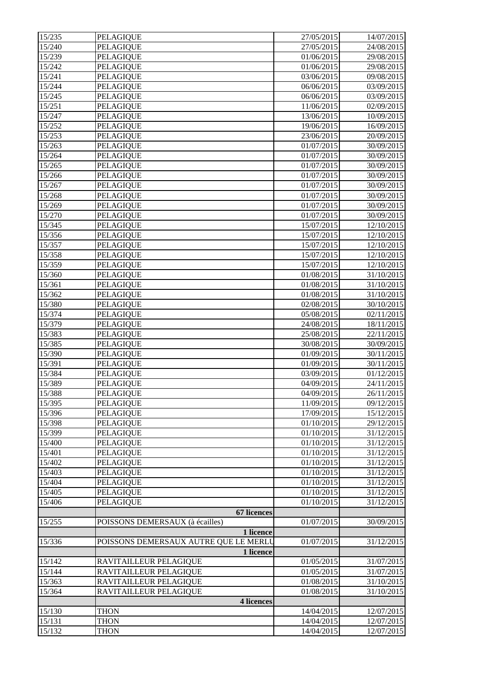| 15/235 | PELAGIQUE                             | 27/05/2015 | 14/07/2015 |
|--------|---------------------------------------|------------|------------|
| 15/240 | <b>PELAGIQUE</b>                      | 27/05/2015 | 24/08/2015 |
| 15/239 | <b>PELAGIQUE</b>                      | 01/06/2015 | 29/08/2015 |
| 15/242 | PELAGIQUE                             | 01/06/2015 | 29/08/2015 |
| 15/241 | <b>PELAGIQUE</b>                      | 03/06/2015 | 09/08/2015 |
| 15/244 | <b>PELAGIQUE</b>                      | 06/06/2015 | 03/09/2015 |
| 15/245 | <b>PELAGIQUE</b>                      | 06/06/2015 | 03/09/2015 |
| 15/251 | PELAGIQUE                             | 11/06/2015 | 02/09/2015 |
| 15/247 | PELAGIQUE                             | 13/06/2015 | 10/09/2015 |
| 15/252 | PELAGIQUE                             | 19/06/2015 | 16/09/2015 |
| 15/253 | PELAGIQUE                             | 23/06/2015 | 20/09/2015 |
| 15/263 | <b>PELAGIQUE</b>                      | 01/07/2015 | 30/09/2015 |
| 15/264 | <b>PELAGIQUE</b>                      | 01/07/2015 | 30/09/2015 |
| 15/265 | PELAGIQUE                             | 01/07/2015 | 30/09/2015 |
| 15/266 | PELAGIQUE                             | 01/07/2015 | 30/09/2015 |
| 15/267 | PELAGIQUE                             | 01/07/2015 | 30/09/2015 |
| 15/268 | PELAGIQUE                             | 01/07/2015 | 30/09/2015 |
| 15/269 | PELAGIQUE                             | 01/07/2015 | 30/09/2015 |
| 15/270 | PELAGIQUE                             | 01/07/2015 | 30/09/2015 |
| 15/345 | PELAGIQUE                             | 15/07/2015 | 12/10/2015 |
| 15/356 | <b>PELAGIQUE</b>                      | 15/07/2015 | 12/10/2015 |
| 15/357 | PELAGIQUE                             | 15/07/2015 | 12/10/2015 |
| 15/358 | <b>PELAGIQUE</b>                      | 15/07/2015 | 12/10/2015 |
| 15/359 | PELAGIQUE                             | 15/07/2015 | 12/10/2015 |
| 15/360 | <b>PELAGIQUE</b>                      | 01/08/2015 | 31/10/2015 |
| 15/361 | PELAGIQUE                             | 01/08/2015 | 31/10/2015 |
| 15/362 | PELAGIQUE                             | 01/08/2015 | 31/10/2015 |
| 15/380 | PELAGIQUE                             | 02/08/2015 | 30/10/2015 |
| 15/374 | <b>PELAGIQUE</b>                      | 05/08/2015 | 02/11/2015 |
| 15/379 | <b>PELAGIQUE</b>                      | 24/08/2015 | 18/11/2015 |
| 15/383 | <b>PELAGIQUE</b>                      | 25/08/2015 | 22/11/2015 |
| 15/385 | <b>PELAGIQUE</b>                      | 30/08/2015 | 30/09/2015 |
| 15/390 | <b>PELAGIQUE</b>                      | 01/09/2015 | 30/11/2015 |
| 15/391 | <b>PELAGIQUE</b>                      | 01/09/2015 | 30/11/2015 |
| 15/384 | PELAGIQUE                             | 03/09/2015 | 01/12/2015 |
| 15/389 | PELAGIQUE                             | 04/09/2015 | 24/11/2015 |
| 15/388 | <b>PELAGIQUE</b>                      | 04/09/2015 | 26/11/2015 |
| 15/395 | <b>PELAGIQUE</b>                      | 11/09/2015 | 09/12/2015 |
| 15/396 | <b>PELAGIQUE</b>                      | 17/09/2015 | 15/12/2015 |
| 15/398 | <b>PELAGIQUE</b>                      | 01/10/2015 | 29/12/2015 |
| 15/399 | <b>PELAGIQUE</b>                      | 01/10/2015 | 31/12/2015 |
| 15/400 | PELAGIQUE                             | 01/10/2015 | 31/12/2015 |
| 15/401 | PELAGIQUE                             | 01/10/2015 | 31/12/2015 |
| 15/402 | <b>PELAGIQUE</b>                      | 01/10/2015 | 31/12/2015 |
| 15/403 | <b>PELAGIQUE</b>                      | 01/10/2015 | 31/12/2015 |
| 15/404 | <b>PELAGIQUE</b>                      | 01/10/2015 | 31/12/2015 |
| 15/405 | <b>PELAGIQUE</b>                      | 01/10/2015 | 31/12/2015 |
| 15/406 | <b>PELAGIQUE</b>                      | 01/10/2015 | 31/12/2015 |
|        | <b>67 licences</b>                    |            |            |
| 15/255 | POISSONS DEMERSAUX (à écailles)       | 01/07/2015 | 30/09/2015 |
|        | 1 licence                             |            |            |
| 15/336 | POISSONS DEMERSAUX AUTRE QUE LE MERLU | 01/07/2015 | 31/12/2015 |
|        | 1 licence                             |            |            |
| 15/142 | RAVITAILLEUR PELAGIQUE                | 01/05/2015 | 31/07/2015 |
| 15/144 | RAVITAILLEUR PELAGIQUE                | 01/05/2015 | 31/07/2015 |
| 15/363 | RAVITAILLEUR PELAGIQUE                | 01/08/2015 | 31/10/2015 |
| 15/364 | RAVITAILLEUR PELAGIQUE                | 01/08/2015 | 31/10/2015 |
|        | 4 licences                            |            |            |
| 15/130 | <b>THON</b>                           | 14/04/2015 | 12/07/2015 |
| 15/131 | <b>THON</b>                           | 14/04/2015 | 12/07/2015 |
| 15/132 | <b>THON</b>                           | 14/04/2015 | 12/07/2015 |
|        |                                       |            |            |